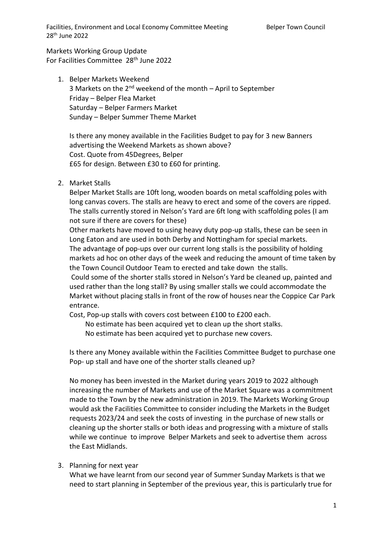Facilities, Environment and Local Economy Committee Meeting Belper Town Council 28th June 2022

Markets Working Group Update For Facilities Committee 28<sup>th</sup> June 2022

1. Belper Markets Weekend 3 Markets on the  $2<sup>nd</sup>$  weekend of the month – April to September Friday – Belper Flea Market Saturday – Belper Farmers Market Sunday – Belper Summer Theme Market

Is there any money available in the Facilities Budget to pay for 3 new Banners advertising the Weekend Markets as shown above? Cost. Quote from 45Degrees, Belper £65 for design. Between £30 to £60 for printing.

2. Market Stalls

Belper Market Stalls are 10ft long, wooden boards on metal scaffolding poles with long canvas covers. The stalls are heavy to erect and some of the covers are ripped. The stalls currently stored in Nelson's Yard are 6ft long with scaffolding poles (I am not sure if there are covers for these)

Other markets have moved to using heavy duty pop-up stalls, these can be seen in Long Eaton and are used in both Derby and Nottingham for special markets. The advantage of pop-ups over our current long stalls is the possibility of holding markets ad hoc on other days of the week and reducing the amount of time taken by the Town Council Outdoor Team to erected and take down the stalls.

Could some of the shorter stalls stored in Nelson's Yard be cleaned up, painted and used rather than the long stall? By using smaller stalls we could accommodate the Market without placing stalls in front of the row of houses near the Coppice Car Park entrance.

Cost, Pop-up stalls with covers cost between £100 to £200 each.

No estimate has been acquired yet to clean up the short stalks.

No estimate has been acquired yet to purchase new covers.

Is there any Money available within the Facilities Committee Budget to purchase one Pop- up stall and have one of the shorter stalls cleaned up?

No money has been invested in the Market during years 2019 to 2022 although increasing the number of Markets and use of the Market Square was a commitment made to the Town by the new administration in 2019. The Markets Working Group would ask the Facilities Committee to consider including the Markets in the Budget requests 2023/24 and seek the costs of investing in the purchase of new stalls or cleaning up the shorter stalls or both ideas and progressing with a mixture of stalls while we continue to improve Belper Markets and seek to advertise them across the East Midlands.

3. Planning for next year

What we have learnt from our second year of Summer Sunday Markets is that we need to start planning in September of the previous year, this is particularly true for